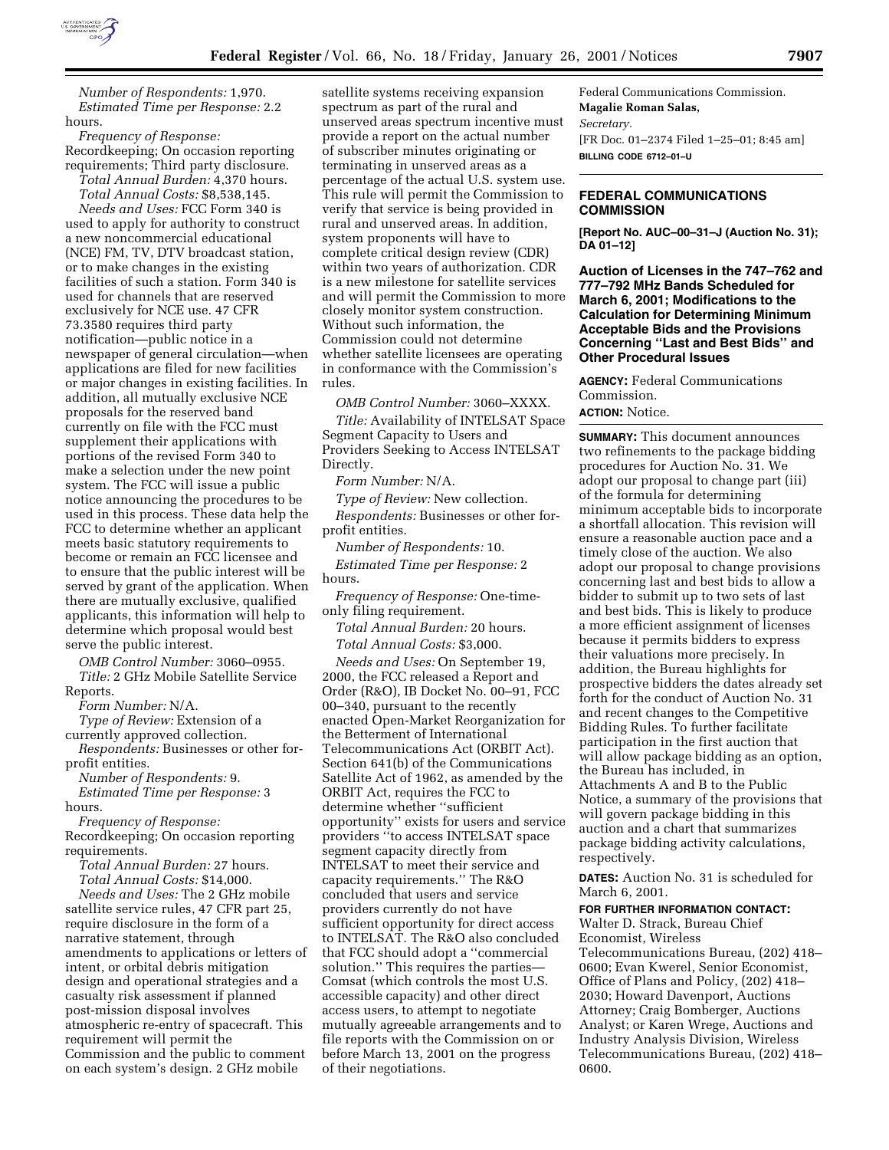

*Number of Respondents:* 1,970. *Estimated Time per Response:* 2.2 hours.

*Frequency of Response:* Recordkeeping; On occasion reporting requirements; Third party disclosure. *Total Annual Burden:* 4,370 hours.

*Total Annual Costs:* \$8,538,145. *Needs and Uses:* FCC Form 340 is used to apply for authority to construct a new noncommercial educational (NCE) FM, TV, DTV broadcast station, or to make changes in the existing facilities of such a station. Form 340 is used for channels that are reserved exclusively for NCE use. 47 CFR 73.3580 requires third party notification—public notice in a newspaper of general circulation—when applications are filed for new facilities or major changes in existing facilities. In addition, all mutually exclusive NCE proposals for the reserved band currently on file with the FCC must supplement their applications with portions of the revised Form 340 to make a selection under the new point system. The FCC will issue a public notice announcing the procedures to be used in this process. These data help the FCC to determine whether an applicant meets basic statutory requirements to become or remain an FCC licensee and to ensure that the public interest will be served by grant of the application. When there are mutually exclusive, qualified applicants, this information will help to determine which proposal would best serve the public interest.

*OMB Control Number:* 3060–0955. *Title:* 2 GHz Mobile Satellite Service

Reports.

*Form Number:* N/A.

*Type of Review:* Extension of a

currently approved collection.

*Respondents:* Businesses or other forprofit entities.

*Number of Respondents:* 9.

*Estimated Time per Response:* 3 hours.

*Frequency of Response:*

Recordkeeping; On occasion reporting requirements.

*Total Annual Burden:* 27 hours. *Total Annual Costs:* \$14,000.

*Needs and Uses:* The 2 GHz mobile satellite service rules, 47 CFR part 25, require disclosure in the form of a narrative statement, through amendments to applications or letters of intent, or orbital debris mitigation design and operational strategies and a casualty risk assessment if planned post-mission disposal involves atmospheric re-entry of spacecraft. This requirement will permit the Commission and the public to comment on each system's design. 2 GHz mobile

satellite systems receiving expansion spectrum as part of the rural and unserved areas spectrum incentive must provide a report on the actual number of subscriber minutes originating or terminating in unserved areas as a percentage of the actual U.S. system use. This rule will permit the Commission to verify that service is being provided in rural and unserved areas. In addition, system proponents will have to complete critical design review (CDR) within two years of authorization. CDR is a new milestone for satellite services and will permit the Commission to more closely monitor system construction. Without such information, the Commission could not determine whether satellite licensees are operating in conformance with the Commission's rules.

*OMB Control Number:* 3060–XXXX.

*Title:* Availability of INTELSAT Space Segment Capacity to Users and Providers Seeking to Access INTELSAT Directly.

*Form Number:* N/A.

*Type of Review:* New collection. *Respondents:* Businesses or other forprofit entities.

*Number of Respondents:* 10. *Estimated Time per Response:* 2 hours.

*Frequency of Response:* One-timeonly filing requirement.

*Total Annual Burden:* 20 hours. *Total Annual Costs:* \$3,000.

*Needs and Uses:* On September 19, 2000, the FCC released a Report and Order (R&O), IB Docket No. 00–91, FCC 00–340, pursuant to the recently enacted Open-Market Reorganization for the Betterment of International Telecommunications Act (ORBIT Act). Section 641(b) of the Communications Satellite Act of 1962, as amended by the ORBIT Act, requires the FCC to determine whether ''sufficient opportunity'' exists for users and service providers ''to access INTELSAT space segment capacity directly from INTELSAT to meet their service and capacity requirements.'' The R&O concluded that users and service providers currently do not have sufficient opportunity for direct access to INTELSAT. The R&O also concluded that FCC should adopt a ''commercial solution.'' This requires the parties— Comsat (which controls the most U.S. accessible capacity) and other direct access users, to attempt to negotiate mutually agreeable arrangements and to file reports with the Commission on or before March 13, 2001 on the progress of their negotiations.

Federal Communications Commission. **Magalie Roman Salas,** *Secretary.* [FR Doc. 01–2374 Filed 1–25–01; 8:45 am] **BILLING CODE 6712–01–U**

## **FEDERAL COMMUNICATIONS COMMISSION**

**[Report No. AUC–00–31–J (Auction No. 31); DA 01–12]**

**Auction of Licenses in the 747–762 and 777–792 MHz Bands Scheduled for March 6, 2001; Modifications to the Calculation for Determining Minimum Acceptable Bids and the Provisions Concerning ''Last and Best Bids'' and Other Procedural Issues**

**AGENCY:** Federal Communications Commission.

## **ACTION:** Notice.

**SUMMARY:** This document announces two refinements to the package bidding procedures for Auction No. 31. We adopt our proposal to change part (iii) of the formula for determining minimum acceptable bids to incorporate a shortfall allocation. This revision will ensure a reasonable auction pace and a timely close of the auction. We also adopt our proposal to change provisions concerning last and best bids to allow a bidder to submit up to two sets of last and best bids. This is likely to produce a more efficient assignment of licenses because it permits bidders to express their valuations more precisely. In addition, the Bureau highlights for prospective bidders the dates already set forth for the conduct of Auction No. 31 and recent changes to the Competitive Bidding Rules. To further facilitate participation in the first auction that will allow package bidding as an option, the Bureau has included, in Attachments A and B to the Public Notice, a summary of the provisions that will govern package bidding in this auction and a chart that summarizes package bidding activity calculations, respectively.

**DATES:** Auction No. 31 is scheduled for March 6, 2001.

## **FOR FURTHER INFORMATION CONTACT:**

Walter D. Strack, Bureau Chief Economist, Wireless Telecommunications Bureau, (202) 418– 0600; Evan Kwerel, Senior Economist, Office of Plans and Policy, (202) 418– 2030; Howard Davenport, Auctions Attorney; Craig Bomberger, Auctions Analyst; or Karen Wrege, Auctions and Industry Analysis Division, Wireless Telecommunications Bureau, (202) 418– 0600.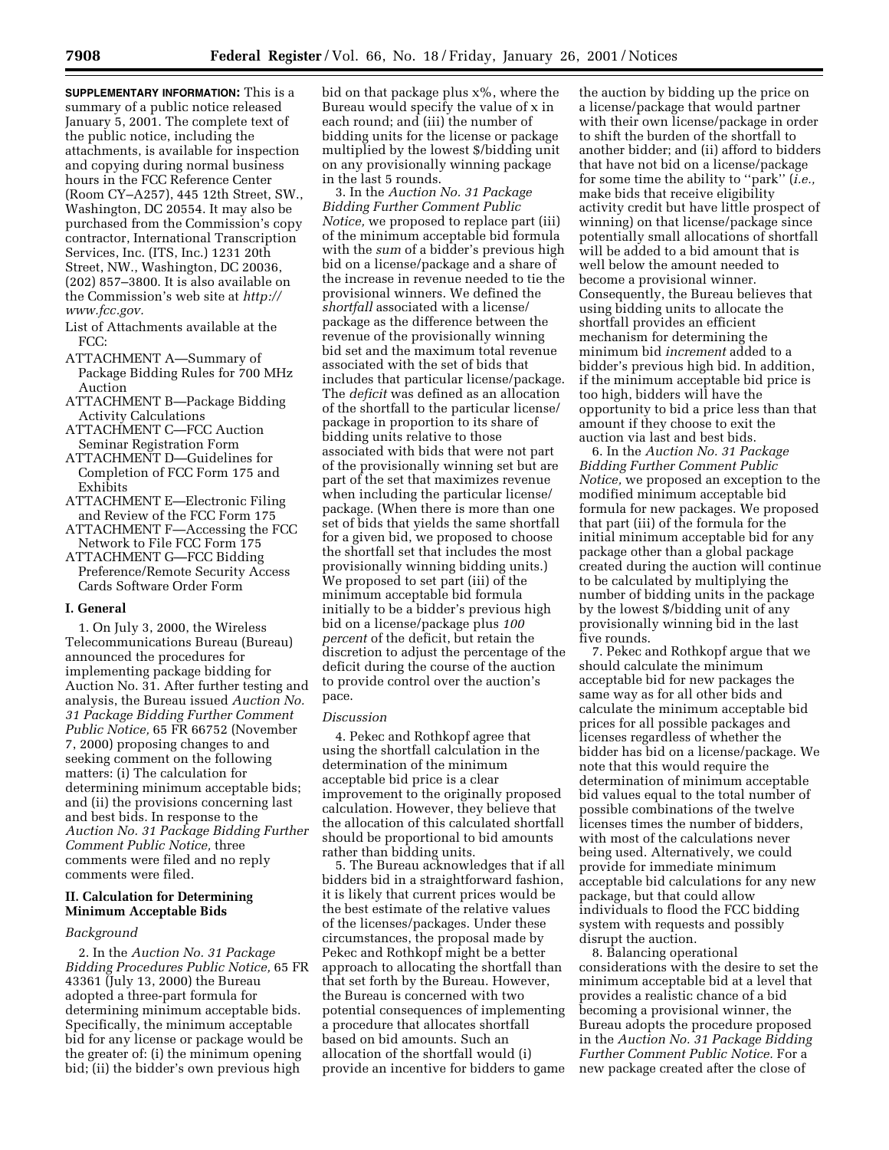**SUPPLEMENTARY INFORMATION:** This is a summary of a public notice released January 5, 2001. The complete text of the public notice, including the attachments, is available for inspection and copying during normal business hours in the FCC Reference Center (Room CY–A257), 445 12th Street, SW., Washington, DC 20554. It may also be purchased from the Commission's copy contractor, International Transcription Services, Inc. (ITS, Inc.) 1231 20th Street, NW., Washington, DC 20036, (202) 857–3800. It is also available on the Commission's web site at *http:// www.fcc.gov.*

- List of Attachments available at the FCC:
- ATTACHMENT A—Summary of Package Bidding Rules for 700 MHz Auction
- ATTACHMENT B—Package Bidding Activity Calculations
- ATTACHMENT C—FCC Auction Seminar Registration Form
- ATTACHMENT D—Guidelines for Completion of FCC Form 175 and Exhibits
- ATTACHMENT E—Electronic Filing and Review of the FCC Form 175
- ATTACHMENT F—Accessing the FCC Network to File FCC Form 175
- ATTACHMENT G—FCC Bidding Preference/Remote Security Access Cards Software Order Form

#### **I. General**

1. On July 3, 2000, the Wireless Telecommunications Bureau (Bureau) announced the procedures for implementing package bidding for Auction No. 31. After further testing and analysis, the Bureau issued *Auction No. 31 Package Bidding Further Comment Public Notice,* 65 FR 66752 (November 7, 2000) proposing changes to and seeking comment on the following matters: (i) The calculation for determining minimum acceptable bids; and (ii) the provisions concerning last and best bids. In response to the *Auction No. 31 Package Bidding Further Comment Public Notice,* three comments were filed and no reply comments were filed.

## **II. Calculation for Determining Minimum Acceptable Bids**

#### *Background*

2. In the *Auction No. 31 Package Bidding Procedures Public Notice,* 65 FR 43361 (July 13, 2000) the Bureau adopted a three-part formula for determining minimum acceptable bids. Specifically, the minimum acceptable bid for any license or package would be the greater of: (i) the minimum opening bid; (ii) the bidder's own previous high

bid on that package plus x%, where the Bureau would specify the value of x in each round; and (iii) the number of bidding units for the license or package multiplied by the lowest \$/bidding unit on any provisionally winning package in the last 5 rounds.

3. In the *Auction No. 31 Package Bidding Further Comment Public Notice,* we proposed to replace part (iii) of the minimum acceptable bid formula with the *sum* of a bidder's previous high bid on a license/package and a share of the increase in revenue needed to tie the provisional winners. We defined the *shortfall* associated with a license/ package as the difference between the revenue of the provisionally winning bid set and the maximum total revenue associated with the set of bids that includes that particular license/package. The *deficit* was defined as an allocation of the shortfall to the particular license/ package in proportion to its share of bidding units relative to those associated with bids that were not part of the provisionally winning set but are part of the set that maximizes revenue when including the particular license/ package. (When there is more than one set of bids that yields the same shortfall for a given bid, we proposed to choose the shortfall set that includes the most provisionally winning bidding units.) We proposed to set part (iii) of the minimum acceptable bid formula initially to be a bidder's previous high bid on a license/package plus *100 percent* of the deficit, but retain the discretion to adjust the percentage of the deficit during the course of the auction to provide control over the auction's pace.

#### *Discussion*

4. Pekec and Rothkopf agree that using the shortfall calculation in the determination of the minimum acceptable bid price is a clear improvement to the originally proposed calculation. However, they believe that the allocation of this calculated shortfall should be proportional to bid amounts rather than bidding units.

5. The Bureau acknowledges that if all bidders bid in a straightforward fashion, it is likely that current prices would be the best estimate of the relative values of the licenses/packages. Under these circumstances, the proposal made by Pekec and Rothkopf might be a better approach to allocating the shortfall than that set forth by the Bureau. However, the Bureau is concerned with two potential consequences of implementing a procedure that allocates shortfall based on bid amounts. Such an allocation of the shortfall would (i) provide an incentive for bidders to game

the auction by bidding up the price on a license/package that would partner with their own license/package in order to shift the burden of the shortfall to another bidder; and (ii) afford to bidders that have not bid on a license/package for some time the ability to ''park'' (*i.e.,* make bids that receive eligibility activity credit but have little prospect of winning) on that license/package since potentially small allocations of shortfall will be added to a bid amount that is well below the amount needed to become a provisional winner. Consequently, the Bureau believes that using bidding units to allocate the shortfall provides an efficient mechanism for determining the minimum bid *increment* added to a bidder's previous high bid. In addition, if the minimum acceptable bid price is too high, bidders will have the opportunity to bid a price less than that amount if they choose to exit the auction via last and best bids.

6. In the *Auction No. 31 Package Bidding Further Comment Public Notice,* we proposed an exception to the modified minimum acceptable bid formula for new packages. We proposed that part (iii) of the formula for the initial minimum acceptable bid for any package other than a global package created during the auction will continue to be calculated by multiplying the number of bidding units in the package by the lowest \$/bidding unit of any provisionally winning bid in the last five rounds.

7. Pekec and Rothkopf argue that we should calculate the minimum acceptable bid for new packages the same way as for all other bids and calculate the minimum acceptable bid prices for all possible packages and licenses regardless of whether the bidder has bid on a license/package. We note that this would require the determination of minimum acceptable bid values equal to the total number of possible combinations of the twelve licenses times the number of bidders, with most of the calculations never being used. Alternatively, we could provide for immediate minimum acceptable bid calculations for any new package, but that could allow individuals to flood the FCC bidding system with requests and possibly disrupt the auction.

8. Balancing operational considerations with the desire to set the minimum acceptable bid at a level that provides a realistic chance of a bid becoming a provisional winner, the Bureau adopts the procedure proposed in the *Auction No. 31 Package Bidding Further Comment Public Notice.* For a new package created after the close of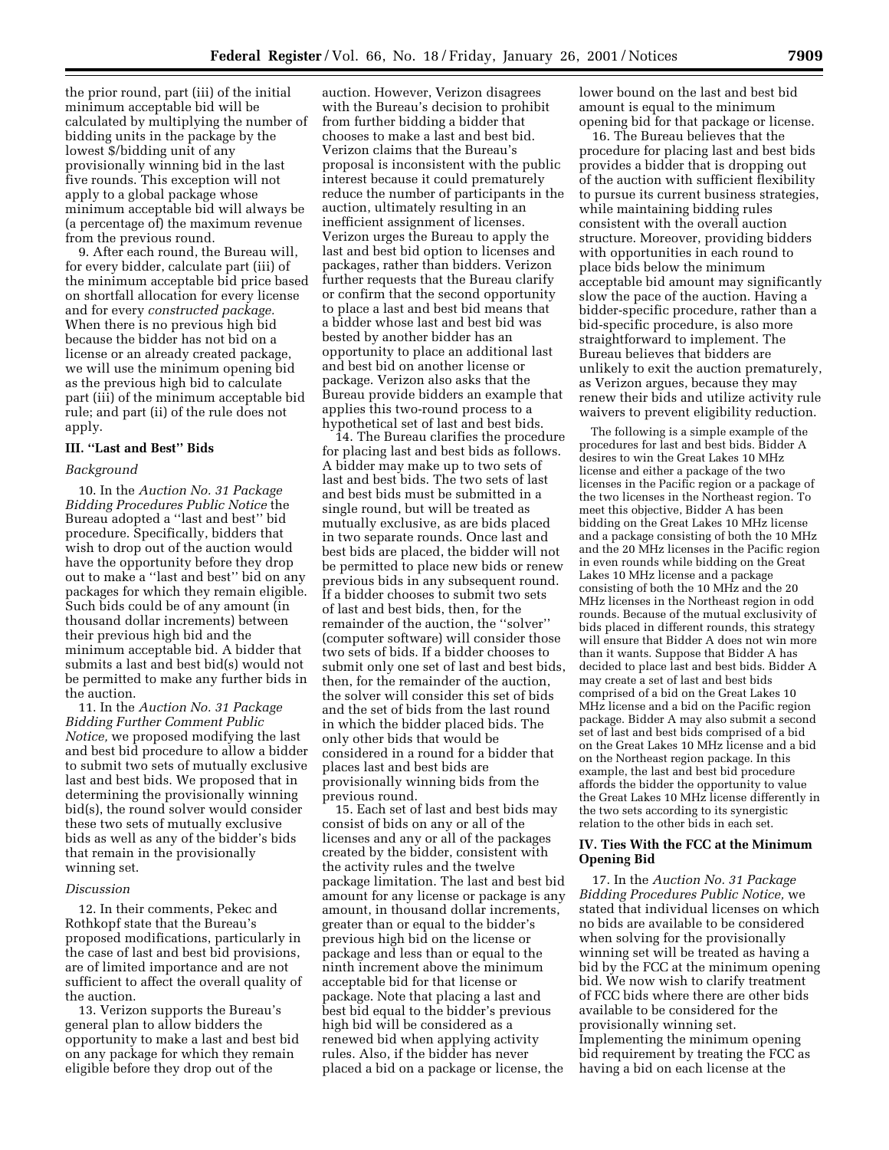the prior round, part (iii) of the initial minimum acceptable bid will be calculated by multiplying the number of bidding units in the package by the lowest \$/bidding unit of any provisionally winning bid in the last five rounds. This exception will not apply to a global package whose minimum acceptable bid will always be (a percentage of) the maximum revenue from the previous round.

9. After each round, the Bureau will, for every bidder, calculate part (iii) of the minimum acceptable bid price based on shortfall allocation for every license and for every *constructed package.* When there is no previous high bid because the bidder has not bid on a license or an already created package, we will use the minimum opening bid as the previous high bid to calculate part (iii) of the minimum acceptable bid rule; and part (ii) of the rule does not apply.

#### **III. ''Last and Best'' Bids**

#### *Background*

10. In the *Auction No. 31 Package Bidding Procedures Public Notice* the Bureau adopted a ''last and best'' bid procedure. Specifically, bidders that wish to drop out of the auction would have the opportunity before they drop out to make a ''last and best'' bid on any packages for which they remain eligible. Such bids could be of any amount (in thousand dollar increments) between their previous high bid and the minimum acceptable bid. A bidder that submits a last and best bid(s) would not be permitted to make any further bids in the auction.

11. In the *Auction No. 31 Package Bidding Further Comment Public Notice,* we proposed modifying the last and best bid procedure to allow a bidder to submit two sets of mutually exclusive last and best bids. We proposed that in determining the provisionally winning bid(s), the round solver would consider these two sets of mutually exclusive bids as well as any of the bidder's bids that remain in the provisionally winning set.

#### *Discussion*

12. In their comments, Pekec and Rothkopf state that the Bureau's proposed modifications, particularly in the case of last and best bid provisions, are of limited importance and are not sufficient to affect the overall quality of the auction.

13. Verizon supports the Bureau's general plan to allow bidders the opportunity to make a last and best bid on any package for which they remain eligible before they drop out of the

auction. However, Verizon disagrees with the Bureau's decision to prohibit from further bidding a bidder that chooses to make a last and best bid. Verizon claims that the Bureau's proposal is inconsistent with the public interest because it could prematurely reduce the number of participants in the auction, ultimately resulting in an inefficient assignment of licenses. Verizon urges the Bureau to apply the last and best bid option to licenses and packages, rather than bidders. Verizon further requests that the Bureau clarify or confirm that the second opportunity to place a last and best bid means that a bidder whose last and best bid was bested by another bidder has an opportunity to place an additional last and best bid on another license or package. Verizon also asks that the Bureau provide bidders an example that applies this two-round process to a hypothetical set of last and best bids.

14. The Bureau clarifies the procedure for placing last and best bids as follows. A bidder may make up to two sets of last and best bids. The two sets of last and best bids must be submitted in a single round, but will be treated as mutually exclusive, as are bids placed in two separate rounds. Once last and best bids are placed, the bidder will not be permitted to place new bids or renew previous bids in any subsequent round. If a bidder chooses to submit two sets of last and best bids, then, for the remainder of the auction, the ''solver'' (computer software) will consider those two sets of bids. If a bidder chooses to submit only one set of last and best bids, then, for the remainder of the auction, the solver will consider this set of bids and the set of bids from the last round in which the bidder placed bids. The only other bids that would be considered in a round for a bidder that places last and best bids are provisionally winning bids from the previous round.

15. Each set of last and best bids may consist of bids on any or all of the licenses and any or all of the packages created by the bidder, consistent with the activity rules and the twelve package limitation. The last and best bid amount for any license or package is any amount, in thousand dollar increments, greater than or equal to the bidder's previous high bid on the license or package and less than or equal to the ninth increment above the minimum acceptable bid for that license or package. Note that placing a last and best bid equal to the bidder's previous high bid will be considered as a renewed bid when applying activity rules. Also, if the bidder has never placed a bid on a package or license, the

lower bound on the last and best bid amount is equal to the minimum opening bid for that package or license.

16. The Bureau believes that the procedure for placing last and best bids provides a bidder that is dropping out of the auction with sufficient flexibility to pursue its current business strategies, while maintaining bidding rules consistent with the overall auction structure. Moreover, providing bidders with opportunities in each round to place bids below the minimum acceptable bid amount may significantly slow the pace of the auction. Having a bidder-specific procedure, rather than a bid-specific procedure, is also more straightforward to implement. The Bureau believes that bidders are unlikely to exit the auction prematurely, as Verizon argues, because they may renew their bids and utilize activity rule waivers to prevent eligibility reduction.

The following is a simple example of the procedures for last and best bids. Bidder A desires to win the Great Lakes 10 MHz license and either a package of the two licenses in the Pacific region or a package of the two licenses in the Northeast region. To meet this objective, Bidder A has been bidding on the Great Lakes 10 MHz license and a package consisting of both the 10 MHz and the 20 MHz licenses in the Pacific region in even rounds while bidding on the Great Lakes 10 MHz license and a package consisting of both the 10 MHz and the 20 MHz licenses in the Northeast region in odd rounds. Because of the mutual exclusivity of bids placed in different rounds, this strategy will ensure that Bidder A does not win more than it wants. Suppose that Bidder A has decided to place last and best bids. Bidder A may create a set of last and best bids comprised of a bid on the Great Lakes 10 MHz license and a bid on the Pacific region package. Bidder A may also submit a second set of last and best bids comprised of a bid on the Great Lakes 10 MHz license and a bid on the Northeast region package. In this example, the last and best bid procedure affords the bidder the opportunity to value the Great Lakes 10 MHz license differently in the two sets according to its synergistic relation to the other bids in each set.

## **IV. Ties With the FCC at the Minimum Opening Bid**

17. In the *Auction No. 31 Package Bidding Procedures Public Notice,* we stated that individual licenses on which no bids are available to be considered when solving for the provisionally winning set will be treated as having a bid by the FCC at the minimum opening bid. We now wish to clarify treatment of FCC bids where there are other bids available to be considered for the provisionally winning set. Implementing the minimum opening bid requirement by treating the FCC as having a bid on each license at the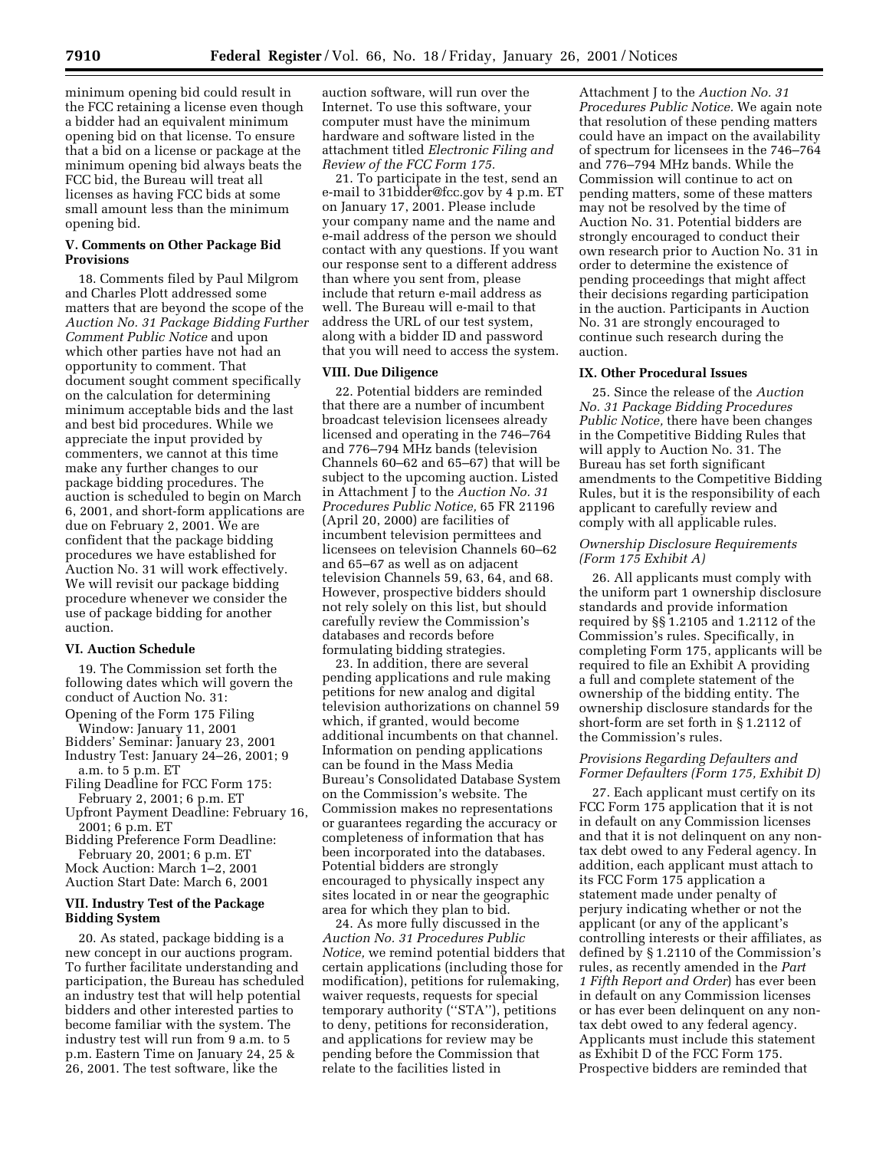minimum opening bid could result in the FCC retaining a license even though a bidder had an equivalent minimum opening bid on that license. To ensure that a bid on a license or package at the minimum opening bid always beats the FCC bid, the Bureau will treat all licenses as having FCC bids at some small amount less than the minimum opening bid.

### **V. Comments on Other Package Bid Provisions**

18. Comments filed by Paul Milgrom and Charles Plott addressed some matters that are beyond the scope of the *Auction No. 31 Package Bidding Further Comment Public Notice* and upon which other parties have not had an opportunity to comment. That document sought comment specifically on the calculation for determining minimum acceptable bids and the last and best bid procedures. While we appreciate the input provided by commenters, we cannot at this time make any further changes to our package bidding procedures. The auction is scheduled to begin on March 6, 2001, and short-form applications are due on February 2, 2001. We are confident that the package bidding procedures we have established for Auction No. 31 will work effectively. We will revisit our package bidding procedure whenever we consider the use of package bidding for another auction.

# **VI. Auction Schedule**

19. The Commission set forth the following dates which will govern the conduct of Auction No. 31:

Opening of the Form 175 Filing

Window: January 11, 2001 Bidders' Seminar: January 23, 2001

Industry Test: January 24–26, 2001; 9 a.m. to 5 p.m. ET

Filing Deadline for FCC Form 175: February 2, 2001; 6 p.m. ET

Upfront Payment Deadline: February 16, 2001; 6 p.m. ET

Bidding Preference Form Deadline: February 20, 2001; 6 p.m. ET Mock Auction: March 1–2, 2001

Auction Start Date: March 6, 2001

## **VII. Industry Test of the Package Bidding System**

20. As stated, package bidding is a new concept in our auctions program. To further facilitate understanding and participation, the Bureau has scheduled an industry test that will help potential bidders and other interested parties to become familiar with the system. The industry test will run from 9 a.m. to 5 p.m. Eastern Time on January 24, 25 & 26, 2001. The test software, like the

auction software, will run over the Internet. To use this software, your computer must have the minimum hardware and software listed in the attachment titled *Electronic Filing and Review of the FCC Form 175.*

21. To participate in the test, send an e-mail to 31bidder@fcc.gov by 4 p.m. ET on January 17, 2001. Please include your company name and the name and e-mail address of the person we should contact with any questions. If you want our response sent to a different address than where you sent from, please include that return e-mail address as well. The Bureau will e-mail to that address the URL of our test system, along with a bidder ID and password that you will need to access the system.

## **VIII. Due Diligence**

22. Potential bidders are reminded that there are a number of incumbent broadcast television licensees already licensed and operating in the 746–764 and 776–794 MHz bands (television Channels 60–62 and 65–67) that will be subject to the upcoming auction. Listed in Attachment J to the *Auction No. 31 Procedures Public Notice,* 65 FR 21196 (April 20, 2000) are facilities of incumbent television permittees and licensees on television Channels 60–62 and 65–67 as well as on adjacent television Channels 59, 63, 64, and 68. However, prospective bidders should not rely solely on this list, but should carefully review the Commission's databases and records before formulating bidding strategies.

23. In addition, there are several pending applications and rule making petitions for new analog and digital television authorizations on channel 59 which, if granted, would become additional incumbents on that channel. Information on pending applications can be found in the Mass Media Bureau's Consolidated Database System on the Commission's website. The Commission makes no representations or guarantees regarding the accuracy or completeness of information that has been incorporated into the databases. Potential bidders are strongly encouraged to physically inspect any sites located in or near the geographic area for which they plan to bid.

24. As more fully discussed in the *Auction No. 31 Procedures Public Notice,* we remind potential bidders that certain applications (including those for modification), petitions for rulemaking, waiver requests, requests for special temporary authority (''STA''), petitions to deny, petitions for reconsideration, and applications for review may be pending before the Commission that relate to the facilities listed in

Attachment J to the *Auction No. 31 Procedures Public Notice.* We again note that resolution of these pending matters could have an impact on the availability of spectrum for licensees in the 746–764 and 776–794 MHz bands. While the Commission will continue to act on pending matters, some of these matters may not be resolved by the time of Auction No. 31. Potential bidders are strongly encouraged to conduct their own research prior to Auction No. 31 in order to determine the existence of pending proceedings that might affect their decisions regarding participation in the auction. Participants in Auction No. 31 are strongly encouraged to continue such research during the auction.

## **IX. Other Procedural Issues**

25. Since the release of the *Auction No. 31 Package Bidding Procedures Public Notice,* there have been changes in the Competitive Bidding Rules that will apply to Auction No. 31. The Bureau has set forth significant amendments to the Competitive Bidding Rules, but it is the responsibility of each applicant to carefully review and comply with all applicable rules.

### *Ownership Disclosure Requirements (Form 175 Exhibit A)*

26. All applicants must comply with the uniform part 1 ownership disclosure standards and provide information required by §§ 1.2105 and 1.2112 of the Commission's rules. Specifically, in completing Form 175, applicants will be required to file an Exhibit A providing a full and complete statement of the ownership of the bidding entity. The ownership disclosure standards for the short-form are set forth in § 1.2112 of the Commission's rules.

## *Provisions Regarding Defaulters and Former Defaulters (Form 175, Exhibit D)*

27. Each applicant must certify on its FCC Form 175 application that it is not in default on any Commission licenses and that it is not delinquent on any nontax debt owed to any Federal agency. In addition, each applicant must attach to its FCC Form 175 application a statement made under penalty of perjury indicating whether or not the applicant (or any of the applicant's controlling interests or their affiliates, as defined by § 1.2110 of the Commission's rules, as recently amended in the *Part 1 Fifth Report and Order*) has ever been in default on any Commission licenses or has ever been delinquent on any nontax debt owed to any federal agency. Applicants must include this statement as Exhibit D of the FCC Form 175. Prospective bidders are reminded that